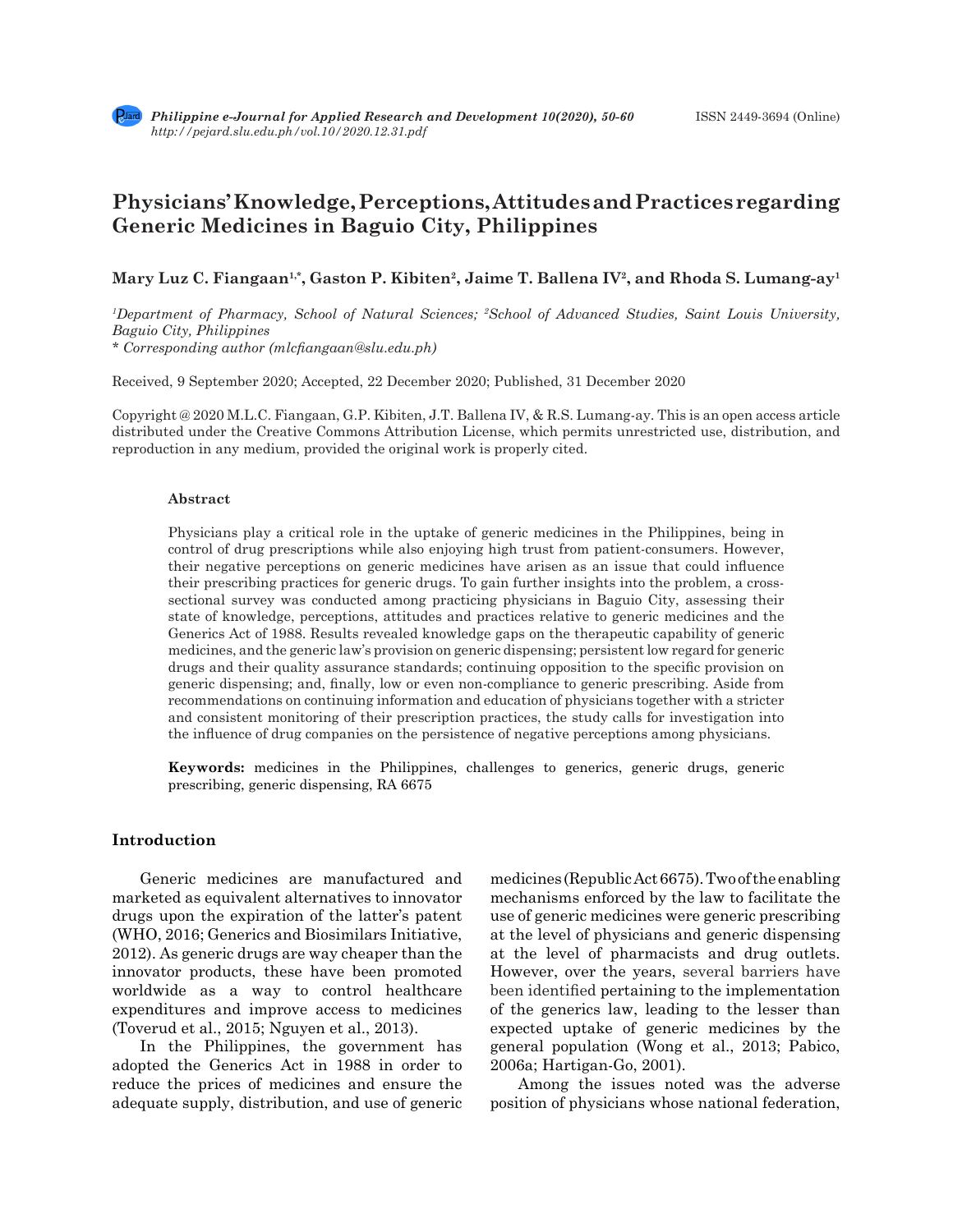# **Physicians' Knowledge, Perceptions, Attitudes and Practices regarding Generic Medicines in Baguio City, Philippines**

Mary Luz C. Fiangaan<sup>1,\*</sup>, Gaston P. Kibiten<sup>2</sup>, Jaime T. Ballena IV<sup>2</sup>, and Rhoda S. Lumang-ay<sup>1</sup>

*1 Department of Pharmacy, School of Natural Sciences; 2 School of Advanced Studies, Saint Louis University, Baguio City, Philippines \* Corresponding author (mlcfiangaan@slu.edu.ph)*

Received, 9 September 2020; Accepted, 22 December 2020; Published, 31 December 2020

Copyright @ 2020 M.L.C. Fiangaan, G.P. Kibiten, J.T. Ballena IV, & R.S. Lumang-ay. This is an open access article distributed under the Creative Commons Attribution License, which permits unrestricted use, distribution, and reproduction in any medium, provided the original work is properly cited.

#### **Abstract**

Physicians play a critical role in the uptake of generic medicines in the Philippines, being in control of drug prescriptions while also enjoying high trust from patient-consumers. However, their negative perceptions on generic medicines have arisen as an issue that could influence their prescribing practices for generic drugs. To gain further insights into the problem, a crosssectional survey was conducted among practicing physicians in Baguio City, assessing their state of knowledge, perceptions, attitudes and practices relative to generic medicines and the Generics Act of 1988. Results revealed knowledge gaps on the therapeutic capability of generic medicines, and the generic law's provision on generic dispensing; persistent low regard for generic drugs and their quality assurance standards; continuing opposition to the specific provision on generic dispensing; and, finally, low or even non-compliance to generic prescribing. Aside from recommendations on continuing information and education of physicians together with a stricter and consistent monitoring of their prescription practices, the study calls for investigation into the influence of drug companies on the persistence of negative perceptions among physicians.

**Keywords:** medicines in the Philippines, challenges to generics, generic drugs, generic prescribing, generic dispensing, RA 6675

#### **Introduction**

Generic medicines are manufactured and marketed as equivalent alternatives to innovator drugs upon the expiration of the latter's patent (WHO, 2016; Generics and Biosimilars Initiative, 2012). As generic drugs are way cheaper than the innovator products, these have been promoted worldwide as a way to control healthcare expenditures and improve access to medicines (Toverud et al., 2015; Nguyen et al., 2013).

In the Philippines, the government has adopted the Generics Act in 1988 in order to reduce the prices of medicines and ensure the adequate supply, distribution, and use of generic medicines (Republic Act 6675). Two of the enabling mechanisms enforced by the law to facilitate the use of generic medicines were generic prescribing at the level of physicians and generic dispensing at the level of pharmacists and drug outlets. However, over the years, several barriers have been identified pertaining to the implementation of the generics law, leading to the lesser than expected uptake of generic medicines by the general population (Wong et al., 2013; Pabico, 2006a; Hartigan-Go, 2001).

Among the issues noted was the adverse position of physicians whose national federation,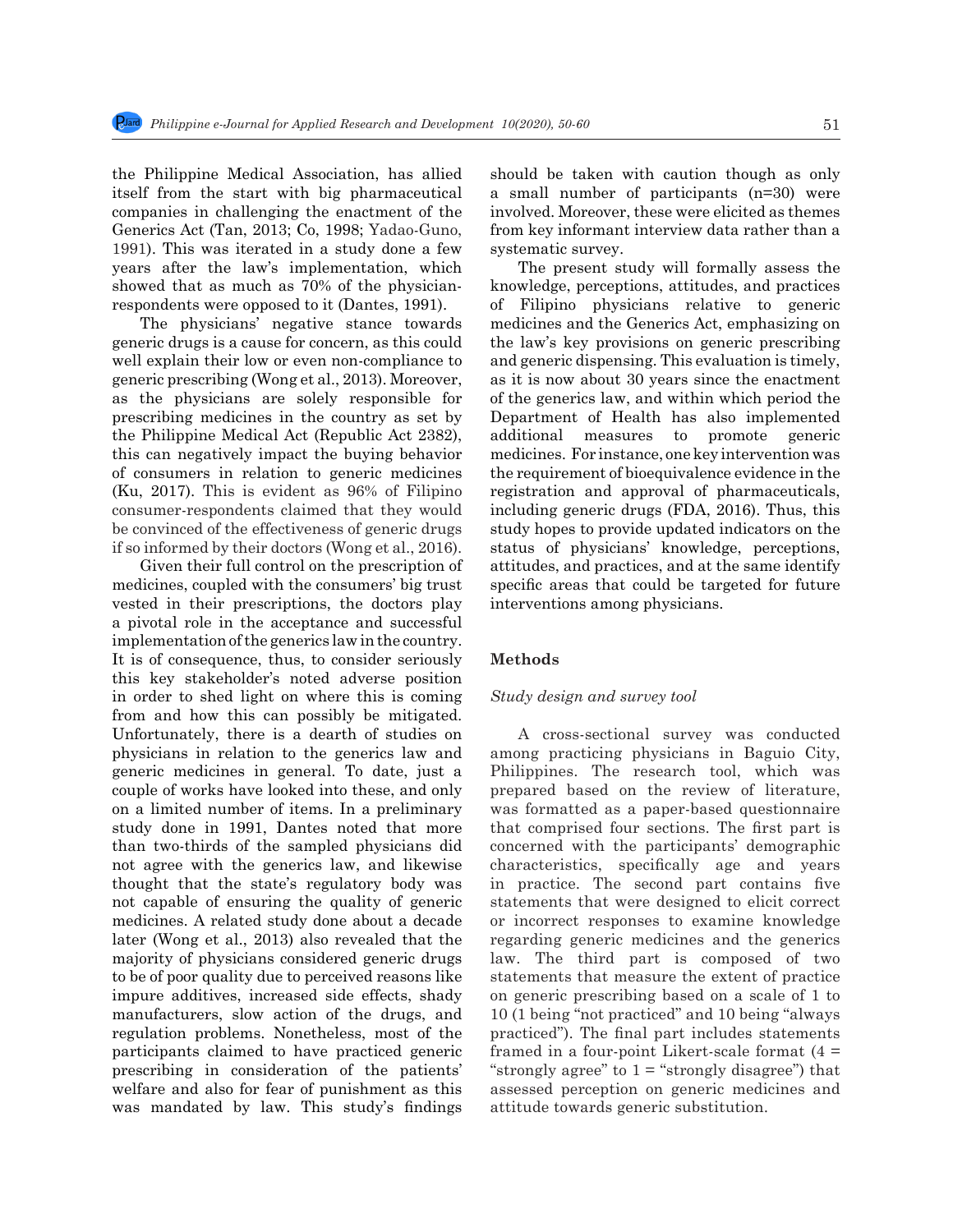the Philippine Medical Association, has allied itself from the start with big pharmaceutical companies in challenging the enactment of the Generics Act (Tan, 2013; Co, 1998; Yadao-Guno, 1991). This was iterated in a study done a few years after the law's implementation, which showed that as much as 70% of the physicianrespondents were opposed to it (Dantes, 1991).

The physicians' negative stance towards generic drugs is a cause for concern, as this could well explain their low or even non-compliance to generic prescribing (Wong et al., 2013). Moreover, as the physicians are solely responsible for prescribing medicines in the country as set by the Philippine Medical Act (Republic Act 2382), this can negatively impact the buying behavior of consumers in relation to generic medicines (Ku, 2017). This is evident as 96% of Filipino consumer-respondents claimed that they would be convinced of the effectiveness of generic drugs if so informed by their doctors (Wong et al., 2016).

Given their full control on the prescription of medicines, coupled with the consumers' big trust vested in their prescriptions, the doctors play a pivotal role in the acceptance and successful implementation of the generics law in the country. It is of consequence, thus, to consider seriously this key stakeholder's noted adverse position in order to shed light on where this is coming from and how this can possibly be mitigated. Unfortunately, there is a dearth of studies on physicians in relation to the generics law and generic medicines in general. To date, just a couple of works have looked into these, and only on a limited number of items. In a preliminary study done in 1991, Dantes noted that more than two-thirds of the sampled physicians did not agree with the generics law, and likewise thought that the state's regulatory body was not capable of ensuring the quality of generic medicines. A related study done about a decade later (Wong et al., 2013) also revealed that the majority of physicians considered generic drugs to be of poor quality due to perceived reasons like impure additives, increased side effects, shady manufacturers, slow action of the drugs, and regulation problems. Nonetheless, most of the participants claimed to have practiced generic prescribing in consideration of the patients' welfare and also for fear of punishment as this was mandated by law. This study's findings should be taken with caution though as only a small number of participants (n=30) were involved. Moreover, these were elicited as themes from key informant interview data rather than a systematic survey.

The present study will formally assess the knowledge, perceptions, attitudes, and practices of Filipino physicians relative to generic medicines and the Generics Act, emphasizing on the law's key provisions on generic prescribing and generic dispensing. This evaluation is timely, as it is now about 30 years since the enactment of the generics law, and within which period the Department of Health has also implemented additional measures to promote generic medicines. For instance, one key intervention was the requirement of bioequivalence evidence in the registration and approval of pharmaceuticals, including generic drugs (FDA, 2016). Thus, this study hopes to provide updated indicators on the status of physicians' knowledge, perceptions, attitudes, and practices, and at the same identify specific areas that could be targeted for future interventions among physicians.

# **Methods**

#### *Study design and survey tool*

A cross-sectional survey was conducted among practicing physicians in Baguio City, Philippines. The research tool, which was prepared based on the review of literature, was formatted as a paper-based questionnaire that comprised four sections. The first part is concerned with the participants' demographic characteristics, specifically age and years in practice. The second part contains five statements that were designed to elicit correct or incorrect responses to examine knowledge regarding generic medicines and the generics law. The third part is composed of two statements that measure the extent of practice on generic prescribing based on a scale of 1 to 10 (1 being "not practiced" and 10 being "always practiced"). The final part includes statements framed in a four-point Likert-scale format  $(4 =$ "strongly agree" to  $1 =$  "strongly disagree") that assessed perception on generic medicines and attitude towards generic substitution.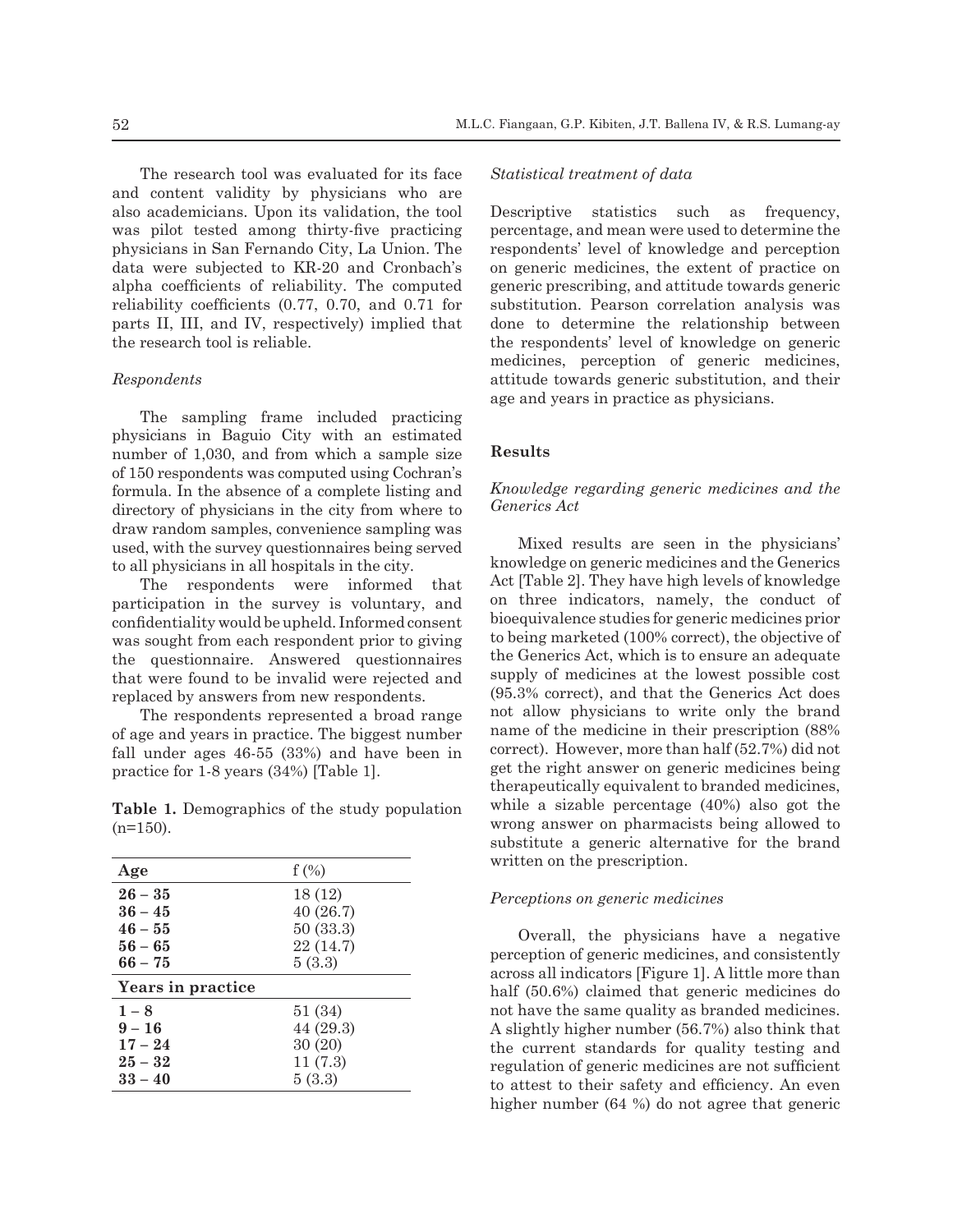The research tool was evaluated for its face and content validity by physicians who are also academicians. Upon its validation, the tool was pilot tested among thirty-five practicing physicians in San Fernando City, La Union. The data were subjected to KR-20 and Cronbach's alpha coefficients of reliability. The computed reliability coefficients (0.77, 0.70, and 0.71 for parts II, III, and IV, respectively) implied that the research tool is reliable.

# *Respondents*

The sampling frame included practicing physicians in Baguio City with an estimated number of 1,030, and from which a sample size of 150 respondents was computed using Cochran's formula. In the absence of a complete listing and directory of physicians in the city from where to draw random samples, convenience sampling was used, with the survey questionnaires being served to all physicians in all hospitals in the city.

The respondents were informed that participation in the survey is voluntary, and confidentiality would be upheld. Informed consent was sought from each respondent prior to giving the questionnaire. Answered questionnaires that were found to be invalid were rejected and replaced by answers from new respondents.

The respondents represented a broad range of age and years in practice. The biggest number fall under ages 46-55 (33%) and have been in practice for 1-8 years (34%) [Table 1].

**Table 1.** Demographics of the study population  $(n=150)$ .

| Age               | $f(\%)$   |
|-------------------|-----------|
| $26 - 35$         | 18(12)    |
| $36 - 45$         | 40(26.7)  |
| $46 - 55$         | 50(33.3)  |
| $56 - 65$         | 22 (14.7) |
| $66 - 75$         | 5(3.3)    |
| Years in practice |           |
| $1 - 8$           | 51(34)    |
| $9 - 16$          | 44 (29.3) |
| $17 - 24$         | 30(20)    |
| $25 - 32$         | 11(7.3)   |
| $33 - 40$         | 5(3.3)    |
|                   |           |

#### *Statistical treatment of data*

Descriptive statistics such as frequency, percentage, and mean were used to determine the respondents' level of knowledge and perception on generic medicines, the extent of practice on generic prescribing, and attitude towards generic substitution. Pearson correlation analysis was done to determine the relationship between the respondents' level of knowledge on generic medicines, perception of generic medicines, attitude towards generic substitution, and their age and years in practice as physicians.

# **Results**

# *Knowledge regarding generic medicines and the Generics Act*

Mixed results are seen in the physicians' knowledge on generic medicines and the Generics Act [Table 2]. They have high levels of knowledge on three indicators, namely, the conduct of bioequivalence studies for generic medicines prior to being marketed (100% correct), the objective of the Generics Act, which is to ensure an adequate supply of medicines at the lowest possible cost (95.3% correct), and that the Generics Act does not allow physicians to write only the brand name of the medicine in their prescription (88% correct). However, more than half (52.7%) did not get the right answer on generic medicines being therapeutically equivalent to branded medicines, while a sizable percentage (40%) also got the wrong answer on pharmacists being allowed to substitute a generic alternative for the brand written on the prescription.

#### *Perceptions on generic medicines*

Overall, the physicians have a negative perception of generic medicines, and consistently across all indicators [Figure 1]. A little more than half (50.6%) claimed that generic medicines do not have the same quality as branded medicines. A slightly higher number (56.7%) also think that the current standards for quality testing and regulation of generic medicines are not sufficient to attest to their safety and efficiency. An even higher number (64 %) do not agree that generic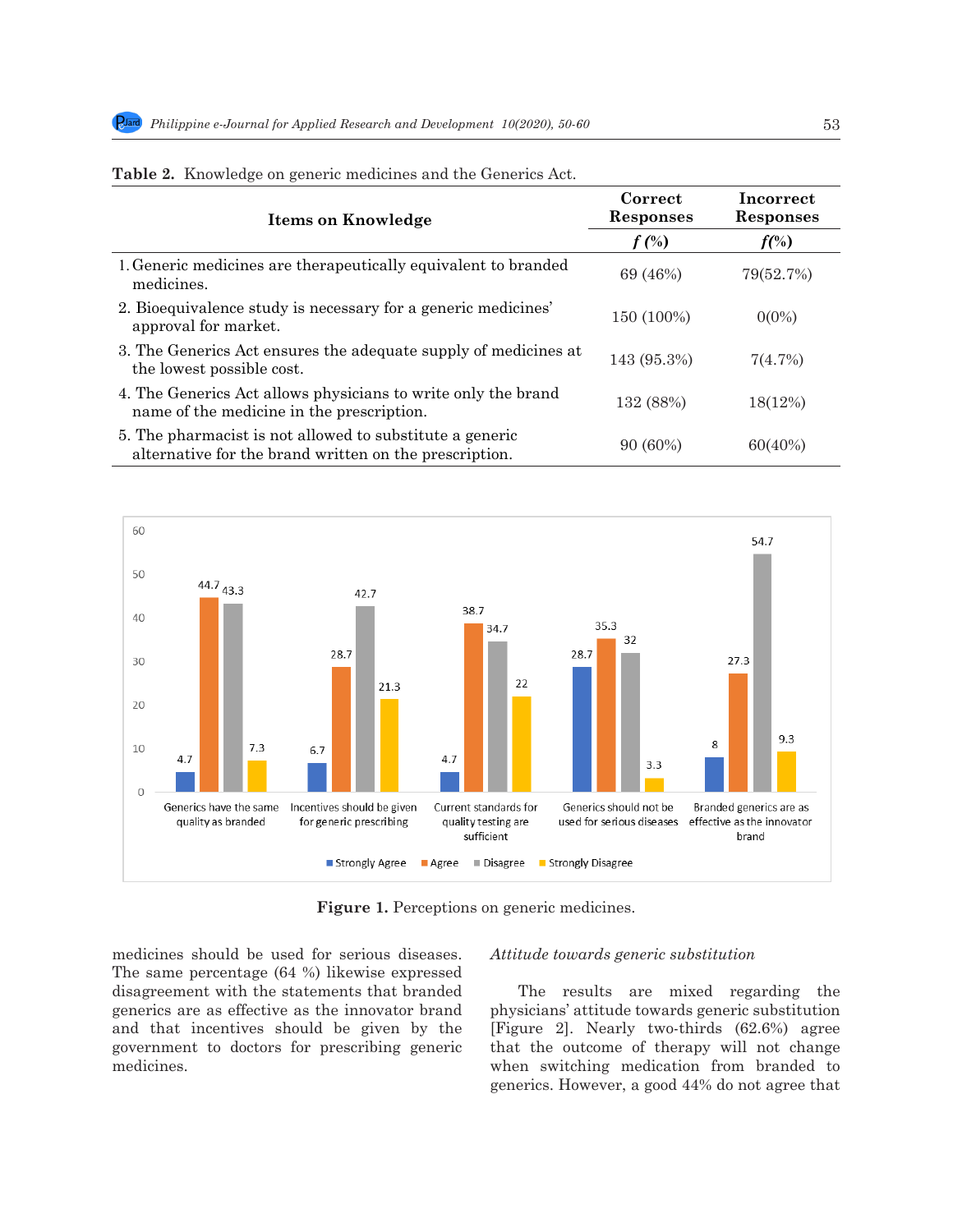| Items on Knowledge                                                                                                 | Correct<br><b>Responses</b> | Incorrect<br><b>Responses</b> |  |
|--------------------------------------------------------------------------------------------------------------------|-----------------------------|-------------------------------|--|
|                                                                                                                    | $f$ $(\%)$                  | $f(\%)$                       |  |
| 1. Generic medicines are therapeutically equivalent to branded<br>medicines.                                       | 69 (46%)                    | 79(52.7%)                     |  |
| 2. Bioequivalence study is necessary for a generic medicines'<br>approval for market.                              | 150 (100%)                  | $0(0\%)$                      |  |
| 3. The Generics Act ensures the adequate supply of medicines at<br>the lowest possible cost.                       | 143 (95.3%)                 | 7(4.7%)                       |  |
| 4. The Generics Act allows physicians to write only the brand<br>name of the medicine in the prescription.         | 132 (88%)                   | 18(12%)                       |  |
| 5. The pharmacist is not allowed to substitute a generic<br>alternative for the brand written on the prescription. | $90(60\%)$                  | 60(40%)                       |  |

|  |  |  |  |  | Table 2. Knowledge on generic medicines and the Generics Act. |
|--|--|--|--|--|---------------------------------------------------------------|
|--|--|--|--|--|---------------------------------------------------------------|



Figure 1. Perceptions on generic medicines.

medicines should be used for serious diseases. The same percentage (64 %) likewise expressed disagreement with the statements that branded generics are as effective as the innovator brand physicians' attitude towards generic substitution and that incentives should be given by the [Figure 2]. Nearly two-thirds  $(62.6%)$  agree are that the outcome of therapy will not change government to doctors for prescribing generic medicines.

# *Attitude towards generic substitution*

The results are mixed regarding the physicians' attitude towards generic substitution [Figure 2]. Nearly two-thirds (62.6%) agree that the outcome of therapy will not change government to doctors for prescribing generic and the outcome of therapy will not enange<br>medicines. When switching medication from branded to medicines.<br>generics. However, a good 44% do not agree that  $176$  three-fourths showld consult that pharmacists showld consult the prescriber first before dispension of prescriber first before dispension of  $\alpha$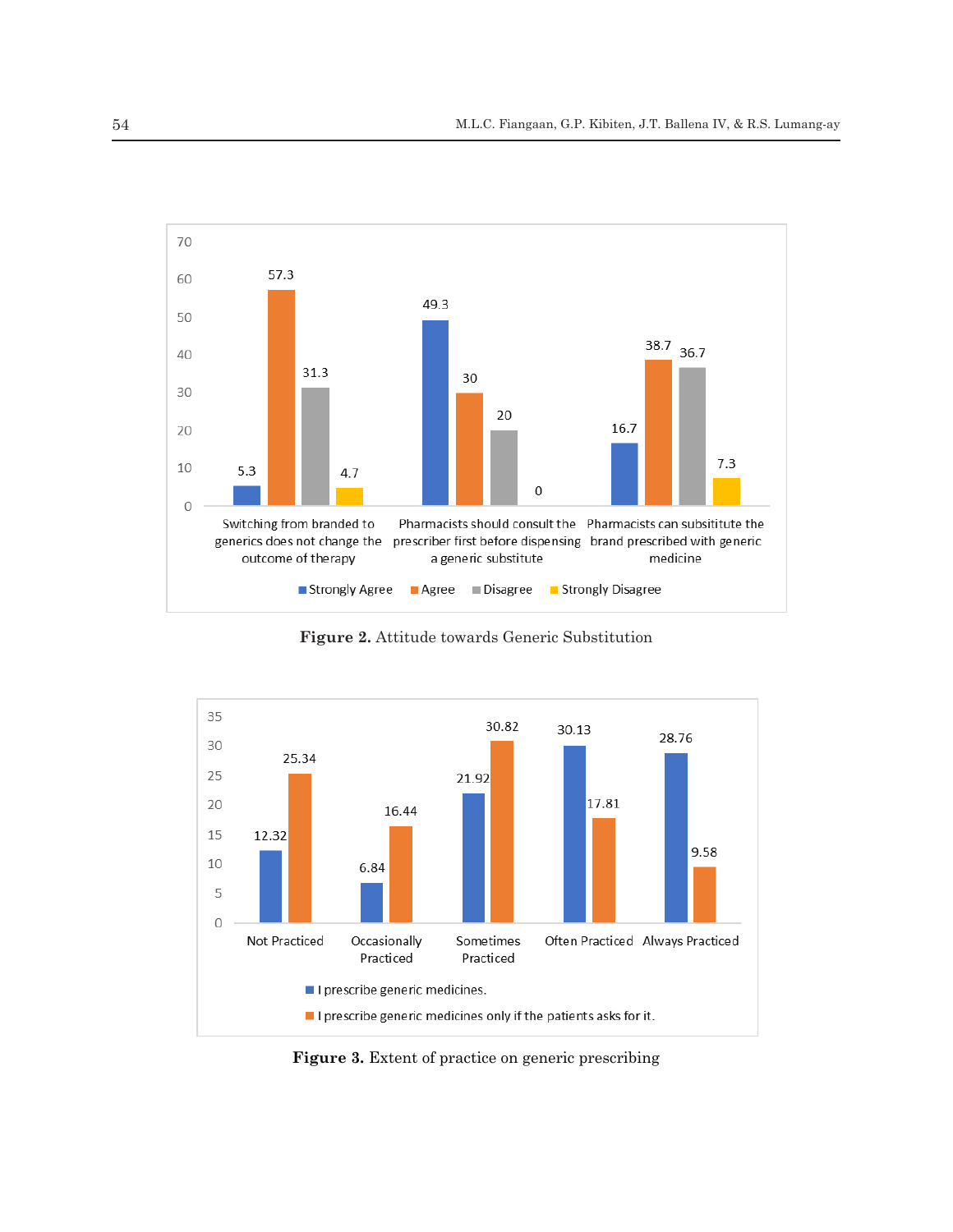

**Figure 2. Attitude towards Generic Substitution Figure 2.** Attitude towards Generic Substitution



**Figure 3. Extent of practice on generic prescribing Figure 3.** Extent of practice on generic prescribing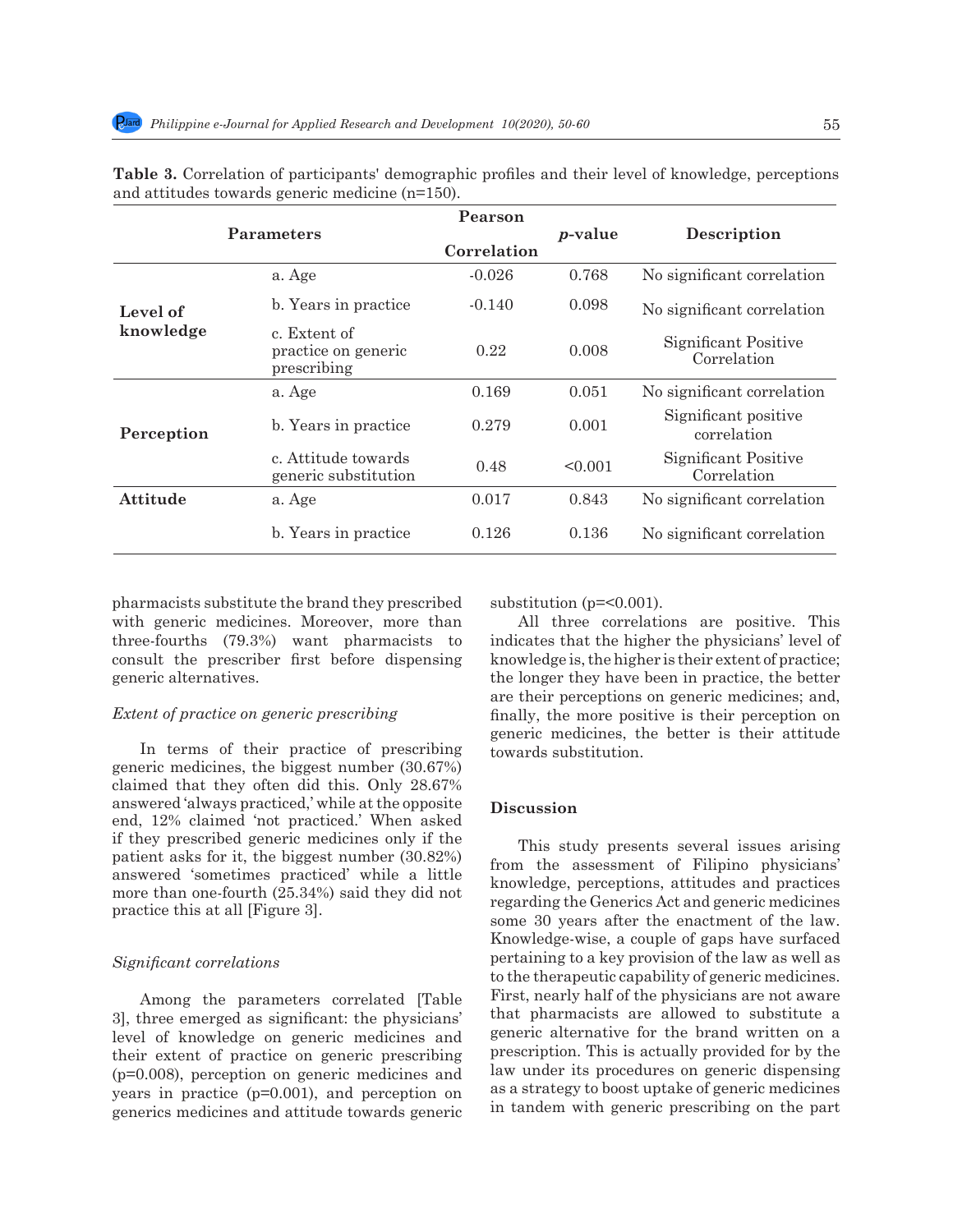|                       | Parameters                                         |             |                 | Description                         |  |
|-----------------------|----------------------------------------------------|-------------|-----------------|-------------------------------------|--|
|                       |                                                    | Correlation | <i>p</i> -value |                                     |  |
| Level of<br>knowledge | a. Age                                             | $-0.026$    | 0.768           | No significant correlation          |  |
|                       | b. Years in practice.                              | $-0.140$    | 0.098           | No significant correlation          |  |
|                       | c. Extent of<br>practice on generic<br>prescribing | 0.22        | 0.008           | Significant Positive<br>Correlation |  |
| Perception            | a. Age                                             | 0.169       | 0.051           | No significant correlation          |  |
|                       | b. Years in practice.                              | 0.279       | 0.001           | Significant positive<br>correlation |  |
|                       | c. Attitude towards<br>generic substitution        | 0.48        | < 0.001         | Significant Positive<br>Correlation |  |
| <b>Attitude</b>       | a. Age                                             | 0.017       | 0.843           | No significant correlation          |  |
|                       | b. Years in practice.                              | 0.126       | 0.136           | No significant correlation          |  |

**Table 3.** Correlation of participants' demographic profiles and their level of knowledge, perceptions and attitudes towards generic medicine (n=150).

pharmacists substitute the brand they prescribed with generic medicines. Moreover, more than three-fourths (79.3%) want pharmacists to consult the prescriber first before dispensing generic alternatives.

## *Extent of practice on generic prescribing*

In terms of their practice of prescribing generic medicines, the biggest number (30.67%) claimed that they often did this. Only 28.67% answered 'always practiced,' while at the opposite end, 12% claimed 'not practiced.' When asked if they prescribed generic medicines only if the patient asks for it, the biggest number (30.82%) answered 'sometimes practiced' while a little more than one-fourth (25.34%) said they did not practice this at all [Figure 3].

#### *Significant correlations*

Among the parameters correlated [Table 3], three emerged as significant: the physicians' level of knowledge on generic medicines and their extent of practice on generic prescribing (p=0.008), perception on generic medicines and years in practice (p=0.001), and perception on generics medicines and attitude towards generic substitution (p=<0.001).

All three correlations are positive. This indicates that the higher the physicians' level of knowledge is, the higher is their extent of practice; the longer they have been in practice, the better are their perceptions on generic medicines; and, finally, the more positive is their perception on generic medicines, the better is their attitude towards substitution.

# **Discussion**

This study presents several issues arising from the assessment of Filipino physicians' knowledge, perceptions, attitudes and practices regarding the Generics Act and generic medicines some 30 years after the enactment of the law. Knowledge-wise, a couple of gaps have surfaced pertaining to a key provision of the law as well as to the therapeutic capability of generic medicines. First, nearly half of the physicians are not aware that pharmacists are allowed to substitute a generic alternative for the brand written on a prescription. This is actually provided for by the law under its procedures on generic dispensing as a strategy to boost uptake of generic medicines in tandem with generic prescribing on the part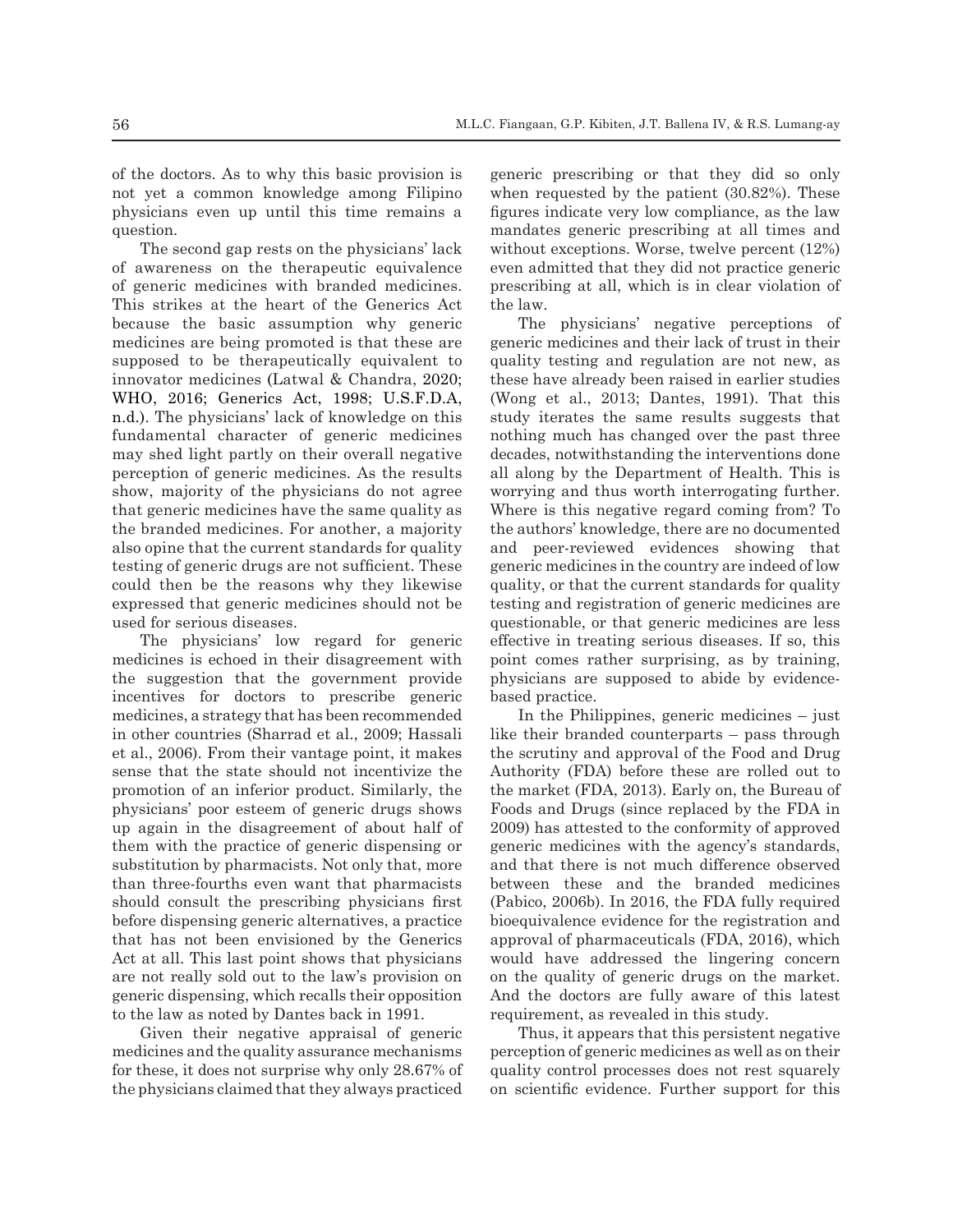of the doctors. As to why this basic provision is not yet a common knowledge among Filipino physicians even up until this time remains a question.

The second gap rests on the physicians' lack of awareness on the therapeutic equivalence of generic medicines with branded medicines. This strikes at the heart of the Generics Act because the basic assumption why generic medicines are being promoted is that these are supposed to be therapeutically equivalent to innovator medicines (Latwal & Chandra, 2020; WHO, 2016; Generics Act, 1998; U.S.F.D.A, n.d.). The physicians' lack of knowledge on this fundamental character of generic medicines may shed light partly on their overall negative perception of generic medicines. As the results show, majority of the physicians do not agree that generic medicines have the same quality as the branded medicines. For another, a majority also opine that the current standards for quality testing of generic drugs are not sufficient. These could then be the reasons why they likewise expressed that generic medicines should not be used for serious diseases.

The physicians' low regard for generic medicines is echoed in their disagreement with the suggestion that the government provide incentives for doctors to prescribe generic medicines, a strategy that has been recommended in other countries (Sharrad et al., 2009; Hassali et al., 2006). From their vantage point, it makes sense that the state should not incentivize the promotion of an inferior product. Similarly, the physicians' poor esteem of generic drugs shows up again in the disagreement of about half of them with the practice of generic dispensing or substitution by pharmacists. Not only that, more than three-fourths even want that pharmacists should consult the prescribing physicians first before dispensing generic alternatives, a practice that has not been envisioned by the Generics Act at all. This last point shows that physicians are not really sold out to the law's provision on generic dispensing, which recalls their opposition to the law as noted by Dantes back in 1991.

Given their negative appraisal of generic medicines and the quality assurance mechanisms for these, it does not surprise why only 28.67% of the physicians claimed that they always practiced

generic prescribing or that they did so only when requested by the patient (30.82%). These figures indicate very low compliance, as the law mandates generic prescribing at all times and without exceptions. Worse, twelve percent (12%) even admitted that they did not practice generic prescribing at all, which is in clear violation of the law.

The physicians' negative perceptions of generic medicines and their lack of trust in their quality testing and regulation are not new, as these have already been raised in earlier studies (Wong et al., 2013; Dantes, 1991). That this study iterates the same results suggests that nothing much has changed over the past three decades, notwithstanding the interventions done all along by the Department of Health. This is worrying and thus worth interrogating further. Where is this negative regard coming from? To the authors' knowledge, there are no documented and peer-reviewed evidences showing that generic medicines in the country are indeed of low quality, or that the current standards for quality testing and registration of generic medicines are questionable, or that generic medicines are less effective in treating serious diseases. If so, this point comes rather surprising, as by training, physicians are supposed to abide by evidencebased practice.

In the Philippines, generic medicines – just like their branded counterparts – pass through the scrutiny and approval of the Food and Drug Authority (FDA) before these are rolled out to the market (FDA, 2013). Early on, the Bureau of Foods and Drugs (since replaced by the FDA in 2009) has attested to the conformity of approved generic medicines with the agency's standards, and that there is not much difference observed between these and the branded medicines (Pabico, 2006b). In 2016, the FDA fully required bioequivalence evidence for the registration and approval of pharmaceuticals (FDA, 2016), which would have addressed the lingering concern on the quality of generic drugs on the market. And the doctors are fully aware of this latest requirement, as revealed in this study.

Thus, it appears that this persistent negative perception of generic medicines as well as on their quality control processes does not rest squarely on scientific evidence. Further support for this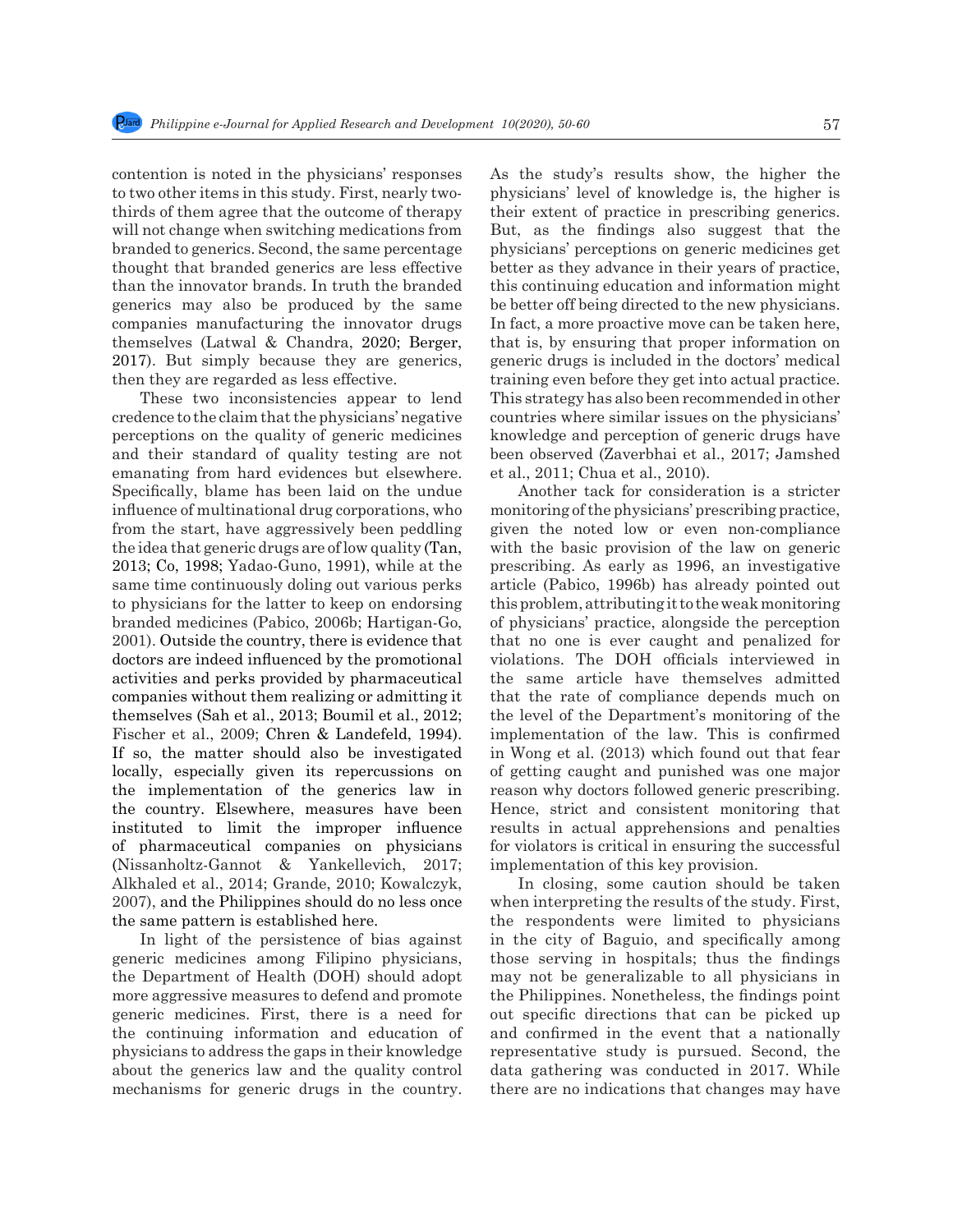contention is noted in the physicians' responses to two other items in this study. First, nearly twothirds of them agree that the outcome of therapy will not change when switching medications from branded to generics. Second, the same percentage thought that branded generics are less effective than the innovator brands. In truth the branded generics may also be produced by the same companies manufacturing the innovator drugs themselves (Latwal & Chandra, 2020; Berger, 2017). But simply because they are generics, then they are regarded as less effective.

These two inconsistencies appear to lend credence to the claim that the physicians' negative perceptions on the quality of generic medicines and their standard of quality testing are not emanating from hard evidences but elsewhere. Specifically, blame has been laid on the undue influence of multinational drug corporations, who from the start, have aggressively been peddling the idea that generic drugs are of low quality (Tan, 2013; Co, 1998; Yadao-Guno, 1991), while at the same time continuously doling out various perks to physicians for the latter to keep on endorsing branded medicines (Pabico, 2006b; Hartigan-Go, 2001). Outside the country, there is evidence that doctors are indeed influenced by the promotional activities and perks provided by pharmaceutical companies without them realizing or admitting it themselves (Sah et al., 2013; Boumil et al., 2012; Fischer et al., 2009; Chren & Landefeld, 1994). If so, the matter should also be investigated locally, especially given its repercussions on the implementation of the generics law in the country. Elsewhere, measures have been instituted to limit the improper influence of pharmaceutical companies on physicians (Nissanholtz-Gannot & Yankellevich, 2017; Alkhaled et al., 2014; Grande, 2010; Kowalczyk, 2007), and the Philippines should do no less once the same pattern is established here.

In light of the persistence of bias against generic medicines among Filipino physicians, the Department of Health (DOH) should adopt more aggressive measures to defend and promote generic medicines. First, there is a need for the continuing information and education of physicians to address the gaps in their knowledge about the generics law and the quality control mechanisms for generic drugs in the country. As the study's results show, the higher the physicians' level of knowledge is, the higher is their extent of practice in prescribing generics. But, as the findings also suggest that the physicians' perceptions on generic medicines get better as they advance in their years of practice, this continuing education and information might be better off being directed to the new physicians. In fact, a more proactive move can be taken here, that is, by ensuring that proper information on generic drugs is included in the doctors' medical training even before they get into actual practice. This strategy has also been recommended in other countries where similar issues on the physicians' knowledge and perception of generic drugs have been observed (Zaverbhai et al., 2017; Jamshed et al., 2011; Chua et al., 2010).

Another tack for consideration is a stricter monitoring of the physicians' prescribing practice, given the noted low or even non-compliance with the basic provision of the law on generic prescribing. As early as 1996, an investigative article (Pabico, 1996b) has already pointed out this problem, attributing it to the weak monitoring of physicians' practice, alongside the perception that no one is ever caught and penalized for violations. The DOH officials interviewed in the same article have themselves admitted that the rate of compliance depends much on the level of the Department's monitoring of the implementation of the law. This is confirmed in Wong et al. (2013) which found out that fear of getting caught and punished was one major reason why doctors followed generic prescribing. Hence, strict and consistent monitoring that results in actual apprehensions and penalties for violators is critical in ensuring the successful implementation of this key provision.

In closing, some caution should be taken when interpreting the results of the study. First, the respondents were limited to physicians in the city of Baguio, and specifically among those serving in hospitals; thus the findings may not be generalizable to all physicians in the Philippines. Nonetheless, the findings point out specific directions that can be picked up and confirmed in the event that a nationally representative study is pursued. Second, the data gathering was conducted in 2017. While there are no indications that changes may have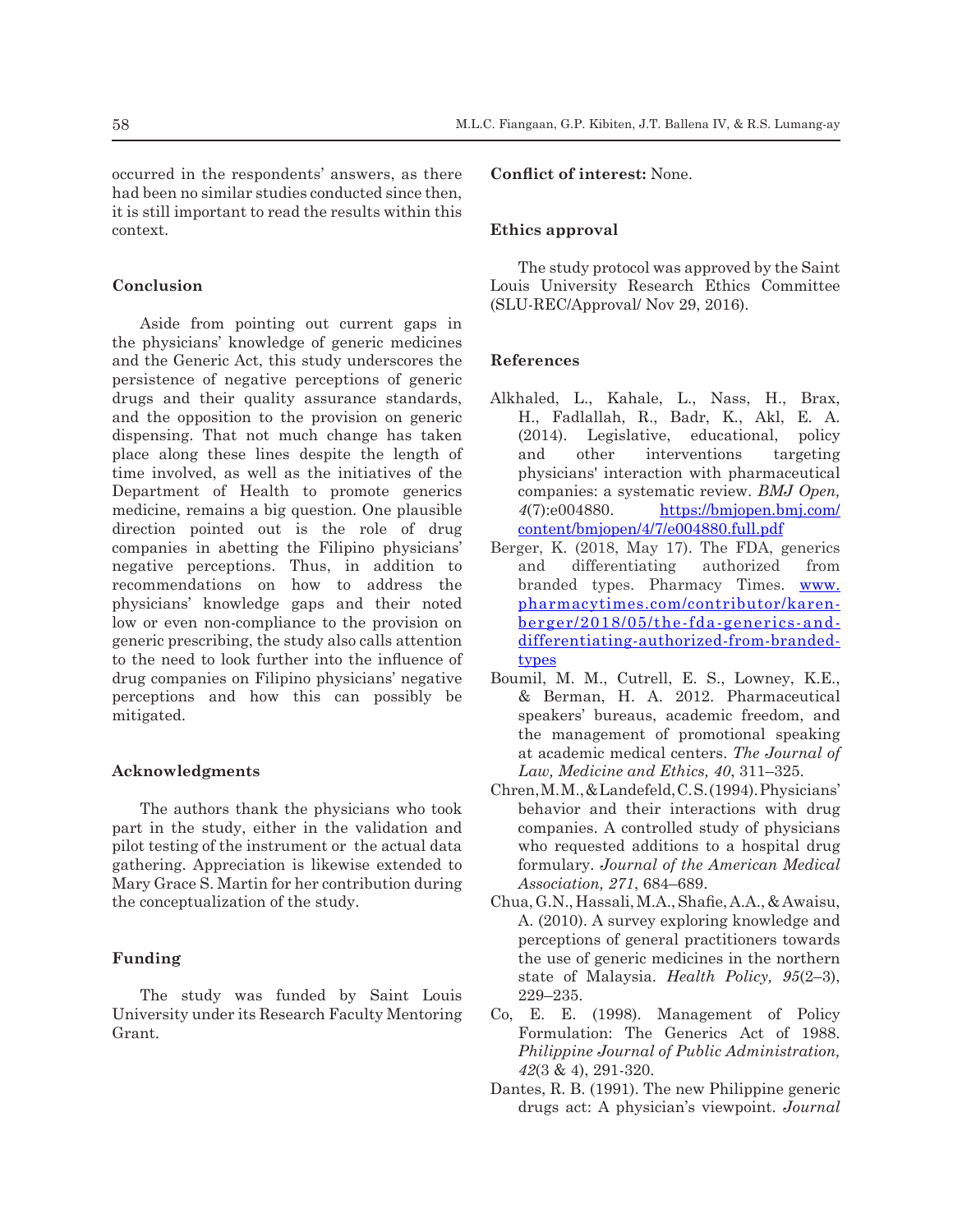occurred in the respondents' answers, as there had been no similar studies conducted since then, it is still important to read the results within this context.

# **Conclusion**

Aside from pointing out current gaps in the physicians' knowledge of generic medicines and the Generic Act, this study underscores the persistence of negative perceptions of generic drugs and their quality assurance standards, and the opposition to the provision on generic dispensing. That not much change has taken place along these lines despite the length of time involved, as well as the initiatives of the Department of Health to promote generics medicine, remains a big question. One plausible direction pointed out is the role of drug companies in abetting the Filipino physicians' negative perceptions. Thus, in addition to recommendations on how to address the physicians' knowledge gaps and their noted low or even non-compliance to the provision on generic prescribing, the study also calls attention to the need to look further into the influence of drug companies on Filipino physicians' negative perceptions and how this can possibly be mitigated.

## **Acknowledgments**

The authors thank the physicians who took part in the study, either in the validation and pilot testing of the instrument or the actual data gathering. Appreciation is likewise extended to Mary Grace S. Martin for her contribution during the conceptualization of the study.

# **Funding**

The study was funded by Saint Louis University under its Research Faculty Mentoring Grant.

## **Conflict of interest:** None.

# **Ethics approval**

The study protocol was approved by the Saint Louis University Research Ethics Committee (SLU-REC/Approval/ Nov 29, 2016).

## **References**

- Alkhaled, L., Kahale, L., Nass, H., Brax, H., Fadlallah, R., Badr, K., Akl, E. A. (2014). Legislative, educational, policy and other interventions targeting physicians' interaction with pharmaceutical companies: a systematic review. *BMJ Open, 4*(7):e004880. https://bmjopen.bmj.com/ content/bmjopen/4/7/e004880.full.pdf
- Berger, K. (2018, May 17). The FDA, generics and differentiating authorized from branded types. Pharmacy Times. www. pharmacytimes.com/contributor/karenberger/2018/05/the-fda-generics-anddifferentiating-authorized-from-brandedtypes
- Boumil, M. M., Cutrell, E. S., Lowney, K.E., & Berman, H. A. 2012. Pharmaceutical speakers' bureaus, academic freedom, and the management of promotional speaking at academic medical centers. *The Journal of Law, Medicine and Ethics, 40*, 311–325.
- Chren, M. M., & Landefeld, C. S.(1994).Physicians' behavior and their interactions with drug companies. A controlled study of physicians who requested additions to a hospital drug formulary. *Journal of the American Medical Association, 271*, 684–689.
- Chua, G.N., Hassali, M.A., Shafie, A.A., & Awaisu, A. (2010). A survey exploring knowledge and perceptions of general practitioners towards the use of generic medicines in the northern state of Malaysia. *Health Policy, 95*(2–3), 229–235.
- Co, E. E. (1998). Management of Policy Formulation: The Generics Act of 1988. *Philippine Journal of Public Administration, 42*(3 & 4), 291-320.
- Dantes, R. B. (1991). The new Philippine generic drugs act: A physician's viewpoint. *Journal*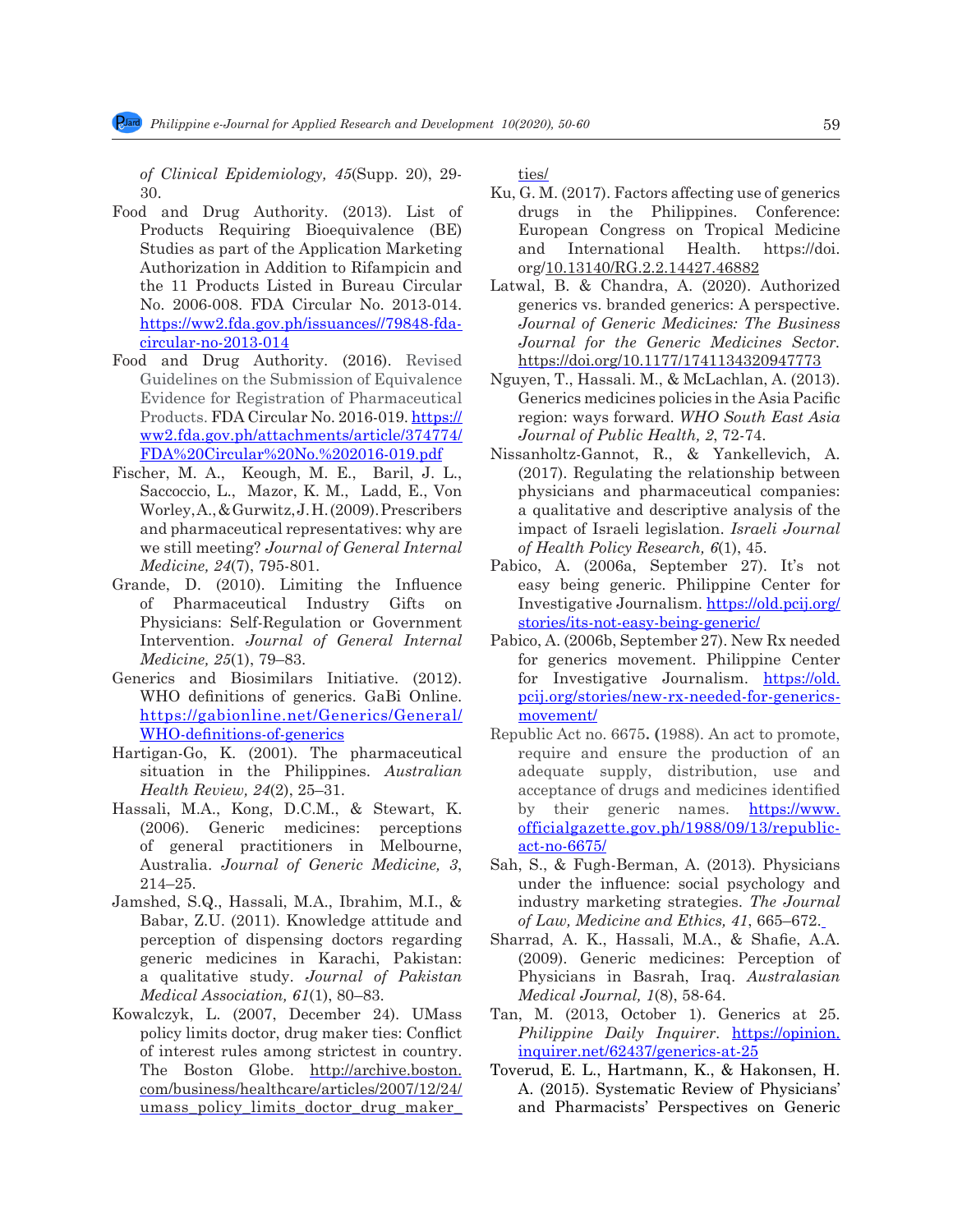*of Clinical Epidemiology, 45*(Supp. 20), 29- 30.

- Food and Drug Authority. (2013). List of Products Requiring Bioequivalence (BE) Studies as part of the Application Marketing Authorization in Addition to Rifampicin and the 11 Products Listed in Bureau Circular No. 2006-008. FDA Circular No. 2013-014. https://ww2.fda.gov.ph/issuances//79848-fdacircular-no-2013-014
- Food and Drug Authority. (2016). Revised Guidelines on the Submission of Equivalence Evidence for Registration of Pharmaceutical Products. FDA Circular No. 2016-019. https:// ww2.fda.gov.ph/attachments/article/374774/ FDA%20Circular%20No.%202016-019.pdf
- Fischer, M. A., Keough, M. E., Baril, J. L., Saccoccio, L., Mazor, K. M., Ladd, E., Von Worley,A., & Gurwitz, J. H. (2009). Prescribers and pharmaceutical representatives: why are we still meeting? *Journal of General Internal Medicine, 24*(7), 795-801.
- Grande, D. (2010). Limiting the Influence of Pharmaceutical Industry Gifts on Physicians: Self-Regulation or Government Intervention. *Journal of General Internal Medicine, 25*(1), 79–83.
- Generics and Biosimilars Initiative. (2012). WHO definitions of generics. GaBi Online. https://gabionline.net/Generics/General/ WHO-definitions-of-generics
- Hartigan-Go, K. (2001). The pharmaceutical situation in the Philippines. *Australian Health Review, 24*(2), 25–31.
- Hassali, M.A., Kong, D.C.M., & Stewart, K. (2006). Generic medicines: perceptions of general practitioners in Melbourne, Australia. *Journal of Generic Medicine, 3*, 214–25.
- Jamshed, S.Q., Hassali, M.A., Ibrahim, M.I., & Babar, Z.U. (2011). Knowledge attitude and perception of dispensing doctors regarding generic medicines in Karachi, Pakistan: a qualitative study. *Journal of Pakistan Medical Association, 61*(1), 80–83.
- Kowalczyk, L. (2007, December 24). UMass policy limits doctor, drug maker ties: Conflict of interest rules among strictest in country. The Boston Globe. http://archive.boston. com/business/healthcare/articles/2007/12/24/ umass\_policy\_limits\_doctor\_drug\_maker\_

ties/

- Ku, G. M. (2017). Factors affecting use of generics drugs in the Philippines. Conference: European Congress on Tropical Medicine and International Health. https://doi. org/10.13140/RG.2.2.14427.46882
- Latwal, B. & Chandra, A. (2020). Authorized generics vs. branded generics: A perspective. *Journal of Generic Medicines: The Business Journal for the Generic Medicines Sector.* https://doi.org/10.1177/1741134320947773
- Nguyen, T., Hassali. M., & McLachlan, A. (2013). Generics medicines policies in the Asia Pacific region: ways forward. *WHO South East Asia Journal of Public Health, 2*, 72-74.
- Nissanholtz-Gannot, R., & Yankellevich, A. (2017). Regulating the relationship between physicians and pharmaceutical companies: a qualitative and descriptive analysis of the impact of Israeli legislation. *Israeli Journal of Health Policy Research, 6*(1), 45.
- Pabico, A. (2006a, September 27). It's not easy being generic. Philippine Center for Investigative Journalism. https://old.pcij.org/ stories/its-not-easy-being-generic/
- Pabico, A. (2006b, September 27). New Rx needed for generics movement. Philippine Center for Investigative Journalism. https://old. pcij.org/stories/new-rx-needed-for-genericsmovement/
- Republic Act no. 6675**. (**1988). An act to promote, require and ensure the production of an adequate supply, distribution, use and acceptance of drugs and medicines identified by their generic names. **https://www.** officialgazette.gov.ph/1988/09/13/republicact-no-6675/
- Sah, S., & Fugh-Berman, A. (2013)*.* Physicians under the influence: social psychology and industry marketing strategies. *The Journal of Law, Medicine and Ethics, 41*, 665–672.
- Sharrad, A. K., Hassali, M.A., & Shafie, A.A. (2009). Generic medicines: Perception of Physicians in Basrah, Iraq. *Australasian Medical Journal, 1*(8), 58-64.
- Tan, M. (2013, October 1). Generics at 25. *Philippine Daily Inquirer*. https://opinion. inquirer.net/62437/generics-at-25
- Toverud, E. L., Hartmann, K., & Hakonsen, H. A. (2015). Systematic Review of Physicians' and Pharmacists' Perspectives on Generic